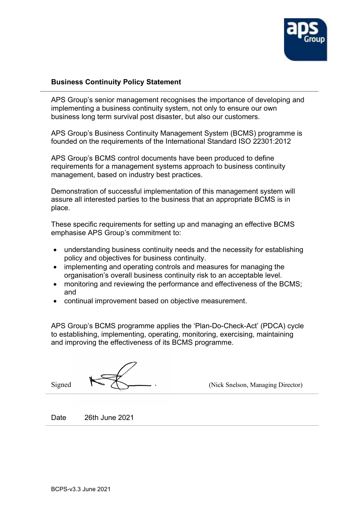

## **Business Continuity Policy Statement**

APS Group's senior management recognises the importance of developing and implementing a business continuity system, not only to ensure our own business long term survival post disaster, but also our customers.

APS Group's Business Continuity Management System (BCMS) programme is founded on the requirements of the International Standard ISO 22301:2012

APS Group's BCMS control documents have been produced to define requirements for a management systems approach to business continuity management, based on industry best practices.

Demonstration of successful implementation of this management system will assure all interested parties to the business that an appropriate BCMS is in place.

These specific requirements for setting up and managing an effective BCMS emphasise APS Group's commitment to:

- understanding business continuity needs and the necessity for establishing policy and objectives for business continuity.
- implementing and operating controls and measures for managing the organisation's overall business continuity risk to an acceptable level.
- monitoring and reviewing the performance and effectiveness of the BCMS; and
- continual improvement based on objective measurement.

APS Group's BCMS programme applies the 'Plan-Do-Check-Act' (PDCA) cycle to establishing, implementing, operating, monitoring, exercising, maintaining and improving the effectiveness of its BCMS programme.

Signed  $\bigcap$  (Nick Snelson, Managing Director)

Date 26th June 2021